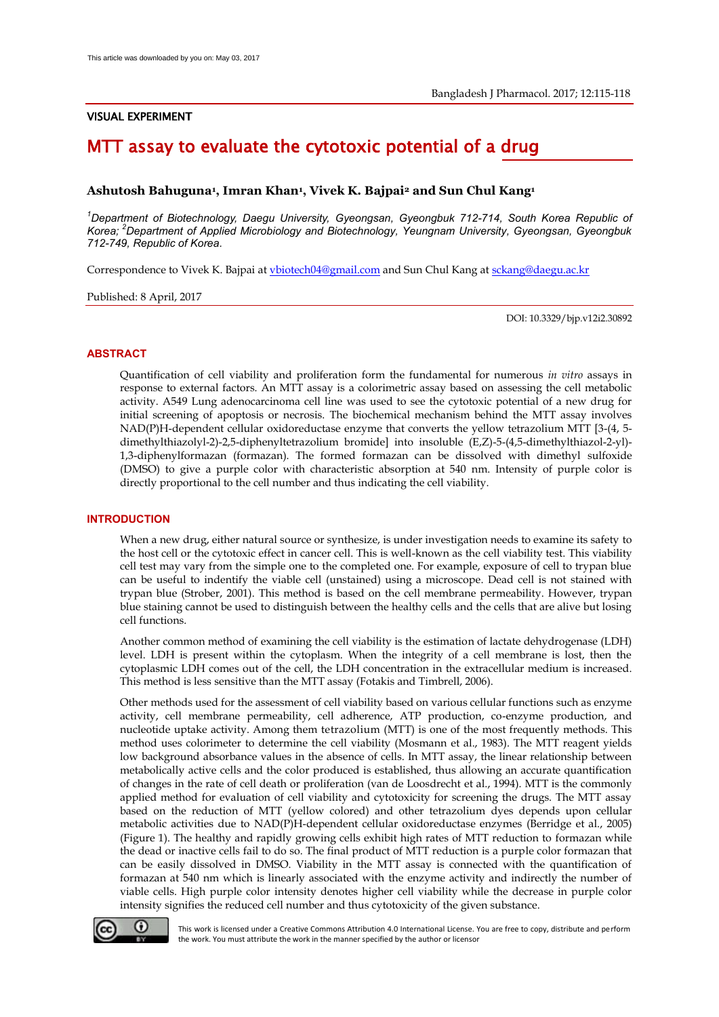### VISUAL EXPERIMENT

## MTT assay to evaluate the cytotoxic potential of a drug

#### **Ashutosh Bahuguna<sup>1</sup> , Imran Khan<sup>1</sup> , Vivek K. Bajpai2 and Sun Chul Kang<sup>1</sup>**

*<sup>1</sup>Department of Biotechnology, Daegu University, Gyeongsan, Gyeongbuk 712-714, South Korea Republic of Korea;<sup>2</sup>Department of Applied Microbiology and Biotechnology, Yeungnam University, Gyeongsan, Gyeongbuk 712-749, Republic of Korea.* 

Correspondence to Vivek K. Bajpai a[t vbiotech04@gmail.com](mailto:vbiotech04@gmail.com) and Sun Chul Kang at [sckang@daegu.ac.kr](mailto:sckang@daegu.ac.kr) 

Published: 8 April, 2017

DOI: 10.3329/bjp.v12i2.30892

#### **ABSTRACT**

Quantification of cell viability and proliferation form the fundamental for numerous *in vitro* assays in response to external factors. An MTT assay is a colorimetric assay based on assessing the cell metabolic activity. A549 Lung adenocarcinoma cell line was used to see the cytotoxic potential of a new drug for initial screening of apoptosis or necrosis. The biochemical mechanism behind the MTT assay involves NAD(P)H-dependent cellular oxidoreductase enzyme that converts the yellow tetrazolium MTT [3-(4, 5 dimethylthiazolyl-2)-2,5-diphenyltetrazolium bromide] into insoluble (E,Z)-5-(4,5-dimethylthiazol-2-yl)- 1,3-diphenylformazan (formazan). The formed formazan can be dissolved with dimethyl sulfoxide (DMSO) to give a purple color with characteristic absorption at 540 nm. Intensity of purple color is directly proportional to the cell number and thus indicating the cell viability.

#### **INTRODUCTION**

When a new drug, either natural source or synthesize, is under investigation needs to examine its safety to the host cell or the cytotoxic effect in cancer cell. This is well-known as the cell viability test. This viability cell test may vary from the simple one to the completed one. For example, exposure of cell to trypan blue can be useful to indentify the viable cell (unstained) using a microscope. Dead cell is not stained with trypan blue (Strober, 2001). This method is based on the cell membrane permeability. However, trypan blue staining cannot be used to distinguish between the healthy cells and the cells that are alive but losing cell functions.

Another common method of examining the cell viability is the estimation of lactate dehydrogenase (LDH) level. LDH is present within the cytoplasm. When the integrity of a cell membrane is lost, then the cytoplasmic LDH comes out of the cell, the LDH concentration in the extracellular medium is increased. This method is less sensitive than the MTT assay (Fotakis and Timbrell, 2006).

Other methods used for the assessment of cell viability based on various cellular functions such as enzyme activity, cell membrane permeability, cell adherence, ATP production, co-enzyme production, and nucleotide uptake activity. Among them tetrazolium (MTT) is one of the most frequently methods. This method uses colorimeter to determine the cell viability (Mosmann et al., 1983). The MTT reagent yields low background absorbance values in the absence of cells. In MTT assay, the linear relationship between metabolically active cells and the color produced is established, thus allowing an accurate quantification of changes in the rate of cell death or proliferation (van de Loosdrecht et al., 1994). MTT is the commonly applied method for evaluation of cell viability and cytotoxicity for screening the drugs. The MTT assay based on the reduction of MTT (yellow colored) and other tetrazolium dyes depends upon cellular metabolic activities due to NAD(P)H-dependent cellular oxidoreductase enzymes (Berridge et al., 2005) (Figure 1). The healthy and rapidly growing cells exhibit high rates of MTT reduction to formazan while the dead or inactive cells fail to do so. The final product of MTT reduction is a purple color formazan that can be easily dissolved in DMSO. Viability in the MTT assay is connected with the quantification of formazan at 540 nm which is linearly associated with the enzyme activity and indirectly the number of viable cells. High purple color intensity denotes higher cell viability while the decrease in purple color intensity signifies the reduced cell number and thus cytotoxicity of the given substance.



This work is licensed under a Creative Commons Attribution 4.0 International License. You are free to copy, distribute and perform the work. You must attribute the work in the manner specified by the author or licensor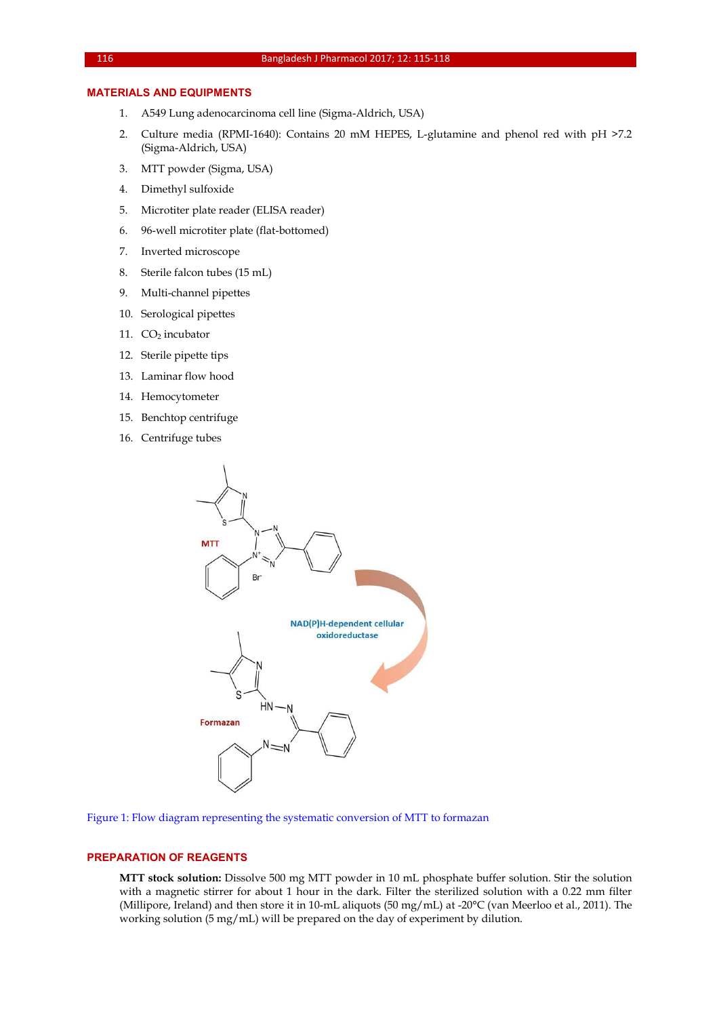#### **MATERIALS AND EQUIPMENTS**

- 1. A549 Lung adenocarcinoma cell line (Sigma-Aldrich, USA)
- 2. Culture media (RPMI-1640): Contains 20 mM HEPES, L-glutamine and phenol red with pH >7.2 (Sigma-Aldrich, USA)
- 3. MTT powder (Sigma, USA)
- 4. Dimethyl sulfoxide
- 5. Microtiter plate reader (ELISA reader)
- 6. 96-well microtiter plate (flat-bottomed)
- 7. Inverted microscope
- 8. Sterile falcon tubes (15 mL)
- 9. Multi-channel pipettes
- 10. Serological pipettes
- 11.  $CO<sub>2</sub>$  incubator
- 12. Sterile pipette tips
- 13. Laminar flow hood
- 14. Hemocytometer
- 15. Benchtop centrifuge
- 16. Centrifuge tubes



Figure 1: Flow diagram representing the systematic conversion of MTT to formazan

#### **PREPARATION OF REAGENTS**

**MTT stock solution:** Dissolve 500 mg MTT powder in 10 mL phosphate buffer solution. Stir the solution with a magnetic stirrer for about 1 hour in the dark. Filter the sterilized solution with a 0.22 mm filter (Millipore, Ireland) and then store it in 10-mL aliquots (50 mg/mL) at -20°C (van Meerloo et al., 2011). The working solution (5 mg/mL) will be prepared on the day of experiment by dilution.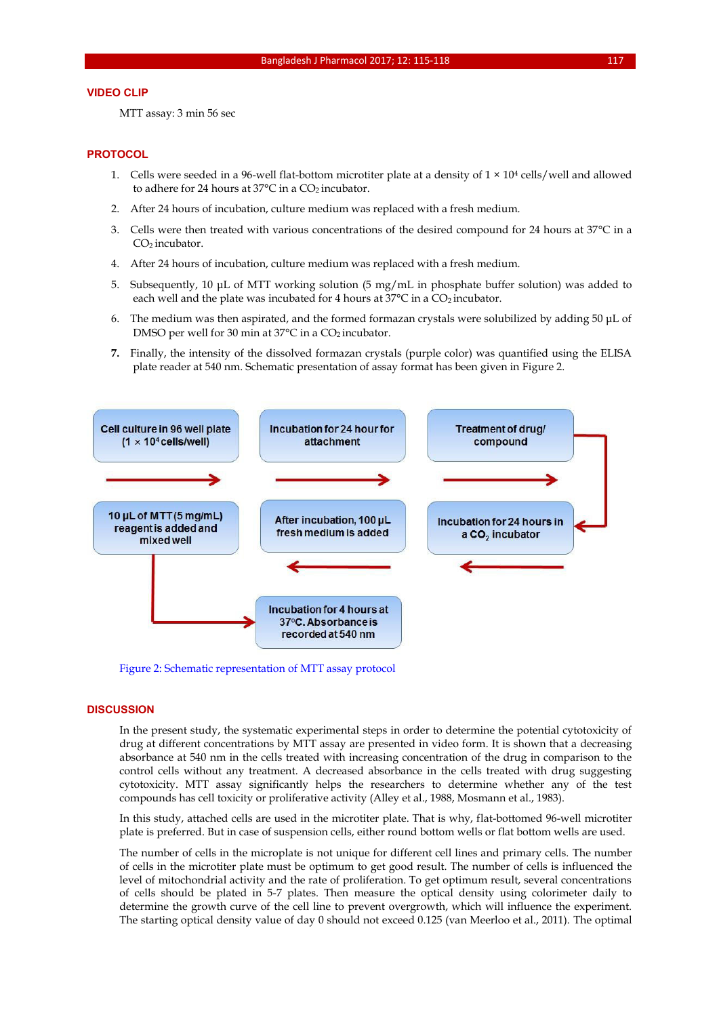#### **VIDEO CLIP**

MTT assay: 3 min 56 sec

#### **PROTOCOL**

- 1. Cells were seeded in a 96-well flat-bottom microtiter plate at a density of  $1 \times 10^4$  cells/well and allowed to adhere for 24 hours at  $37^{\circ}$ C in a CO<sub>2</sub> incubator.
- 2. After 24 hours of incubation, culture medium was replaced with a fresh medium.
- 3. Cells were then treated with various concentrations of the desired compound for 24 hours at 37°C in a CO<sub>2</sub> incubator.
- 4. After 24 hours of incubation, culture medium was replaced with a fresh medium.
- 5. Subsequently, 10 μL of MTT working solution (5 mg/mL in phosphate buffer solution) was added to each well and the plate was incubated for 4 hours at 37°C in a CO<sub>2</sub> incubator.
- 6. The medium was then aspirated, and the formed formazan crystals were solubilized by adding 50 μL of DMSO per well for 30 min at 37°C in a CO<sub>2</sub> incubator.
- **7.** Finally, the intensity of the dissolved formazan crystals (purple color) was quantified using the ELISA plate reader at 540 nm. Schematic presentation of assay format has been given in Figure 2.



Figure 2: Schematic representation of MTT assay protocol

#### **DISCUSSION**

In the present study, the systematic experimental steps in order to determine the potential cytotoxicity of drug at different concentrations by MTT assay are presented in video form. It is shown that a decreasing absorbance at 540 nm in the cells treated with increasing concentration of the drug in comparison to the control cells without any treatment. A decreased absorbance in the cells treated with drug suggesting cytotoxicity. MTT assay significantly helps the researchers to determine whether any of the test compounds has cell toxicity or proliferative activity (Alley et al., 1988, Mosmann et al., 1983).

In this study, attached cells are used in the microtiter plate. That is why, flat-bottomed 96-well microtiter plate is preferred. But in case of suspension cells, either round bottom wells or flat bottom wells are used.

The number of cells in the microplate is not unique for different cell lines and primary cells. The number of cells in the microtiter plate must be optimum to get good result. The number of cells is influenced the level of mitochondrial activity and the rate of proliferation. To get optimum result, several concentrations of cells should be plated in 5-7 plates. Then measure the optical density using colorimeter daily to determine the growth curve of the cell line to prevent overgrowth, which will influence the experiment. The starting optical density value of day 0 should not exceed 0.125 (van Meerloo et al., 2011). The optimal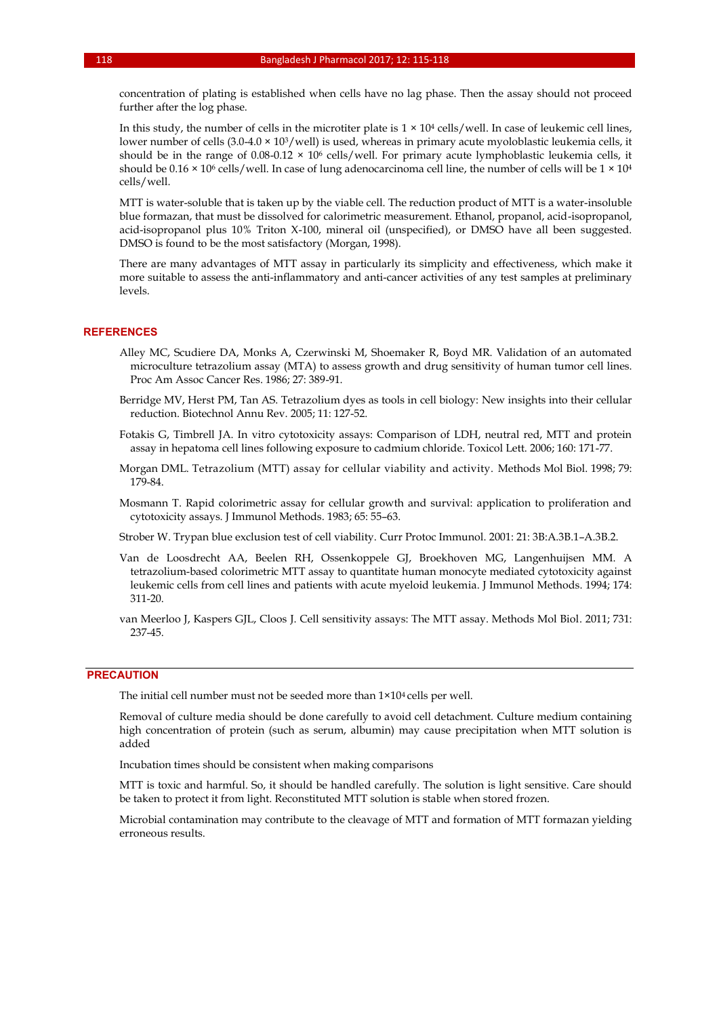concentration of plating is established when cells have no lag phase. Then the assay should not proceed further after the log phase.

In this study, the number of cells in the microtiter plate is  $1 \times 10^4$  cells/well. In case of leukemic cell lines, lower number of cells (3.0-4.0 × 10<sup>3</sup>/well) is used, whereas in primary acute myoloblastic leukemia cells, it should be in the range of 0.08-0.12  $\times$  10<sup>6</sup> cells/well. For primary acute lymphoblastic leukemia cells, it should be  $0.16 \times 10^6$  cells/well. In case of lung adenocarcinoma cell line, the number of cells will be  $1 \times 10^4$ cells/well.

MTT is water-soluble that is taken up by the viable cell. The reduction product of MTT is a water-insoluble blue formazan, that must be dissolved for calorimetric measurement. Ethanol, propanol, acid-isopropanol, acid-isopropanol plus 10% Triton X-100, mineral oil (unspecified), or DMSO have all been suggested. DMSO is found to be the most satisfactory (Morgan, 1998).

There are many advantages of MTT assay in particularly its simplicity and effectiveness, which make it more suitable to assess the anti-inflammatory and anti-cancer activities of any test samples at preliminary levels.

#### **REFERENCES**

- Alley MC, Scudiere DA, Monks A, Czerwinski M, Shoemaker R, Boyd MR. Validation of an automated microculture tetrazolium assay (MTA) to assess growth and drug sensitivity of human tumor cell lines. Proc Am Assoc Cancer Res. 1986; 27: 389-91.
- Berridge MV, Herst PM, Tan AS. Tetrazolium dyes as tools in cell biology: New insights into their cellular reduction. Biotechnol Annu Rev. 2005; 11: 127-52.
- Fotakis G, Timbrell JA. In vitro cytotoxicity assays: Comparison of LDH, neutral red, MTT and protein assay in hepatoma cell lines following exposure to cadmium chloride. Toxicol Lett. 2006; 160: 171-77.
- Morgan DML. Tetrazolium (MTT) assay for cellular viability and activity. Methods Mol Biol. 1998; 79: 179-84.
- Mosmann T. Rapid colorimetric assay for cellular growth and survival: application to proliferation and cytotoxicity assays. J Immunol Methods. 1983; 65: 55–63.

[Strober W.](https://www.ncbi.nlm.nih.gov/pubmed/?term=Strober%20W%5BAuthor%5D&cauthor=true&cauthor_uid=18432654) Trypan blue exclusion test of cell viability. [Curr Protoc Immunol.](https://www.ncbi.nlm.nih.gov/pubmed/18432654) 2001: 21: 3B:A.3B.1–A.3B.2.

Van de Loosdrecht AA, Beelen RH, Ossenkoppele GJ, Broekhoven MG, Langenhuijsen MM. A tetrazolium-based colorimetric MTT assay to quantitate human monocyte mediated cytotoxicity against leukemic cells from cell lines and patients with acute myeloid leukemia. J Immunol Methods. 1994; 174: 311-20.

van Meerloo J, Kaspers GJL, Cloos J. Cell sensitivity assays: The MTT assay. Methods Mol Biol. 2011; 731: 237-45.

#### **PRECAUTION**

The initial cell number must not be seeded more than 1×104 cells per well.

Removal of culture media should be done carefully to avoid cell detachment. Culture medium containing high concentration of protein (such as serum, albumin) may cause precipitation when MTT solution is added

Incubation times should be consistent when making comparisons

MTT is toxic and harmful. So, it should be handled carefully. The solution is light sensitive. Care should be taken to protect it from light. Reconstituted MTT solution is stable when stored frozen.

Microbial contamination may contribute to the cleavage of MTT and formation of MTT formazan yielding erroneous results.